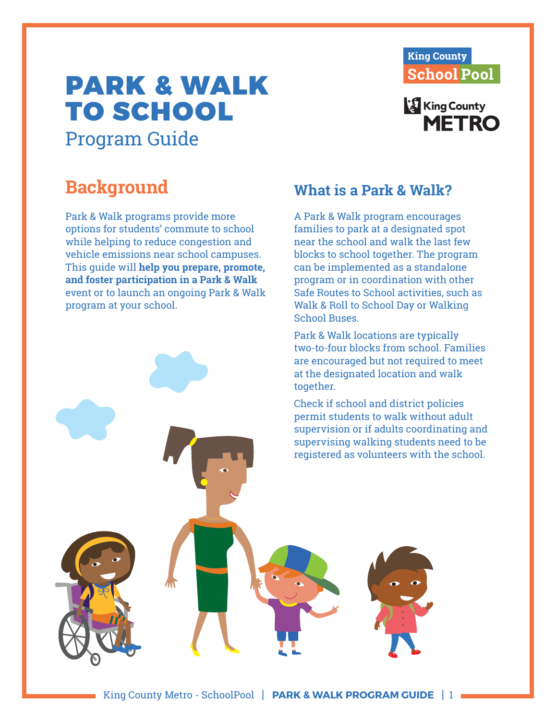# PARK & WALK TO SCHOOL Program Guide



## **King County METRO**

## **Background**

Park & Walk programs provide more options for students' commute to school while helping to reduce congestion and vehicle emissions near school campuses. This guide will **help you prepare, promote, and foster participation in a Park & Walk** event or to launch an ongoing Park & Walk program at your school.

## **What is a Park & Walk?**

A Park & Walk program encourages families to park at a designated spot near the school and walk the last few blocks to school together. The program can be implemented as a standalone program or in coordination with other Safe Routes to School activities, such as Walk & Roll to School Day or Walking School Buses.

Park & Walk locations are typically two-to-four blocks from school. Families are encouraged but not required to meet at the designated location and walk together.

Check if school and district policies permit students to walk without adult supervision or if adults coordinating and supervising walking students need to be registered as volunteers with the school.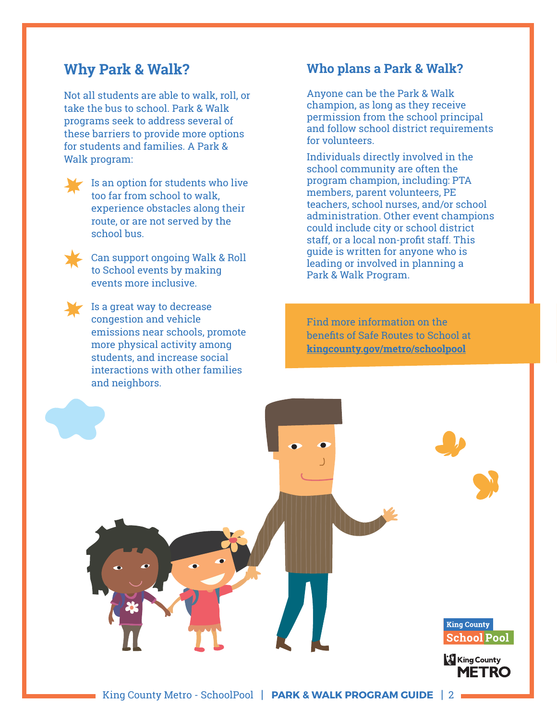### **Why Park & Walk?**

Not all students are able to walk, roll, or take the bus to school. Park & Walk programs seek to address several of these barriers to provide more options for students and families. A Park & Walk program:

Is an option for students who live too far from school to walk, experience obstacles along their route, or are not served by the school bus.



Can support ongoing Walk & Roll to School events by making events more inclusive.

Is a great way to decrease congestion and vehicle emissions near schools, promote more physical activity among students, and increase social interactions with other families and neighbors.

#### **Who plans a Park & Walk?**

Anyone can be the Park & Walk champion, as long as they receive permission from the school principal and follow school district requirements for volunteers.

Individuals directly involved in the school community are often the program champion, including: PTA members, parent volunteers, PE teachers, school nurses, and/or school administration. Other event champions could include city or school district staff, or a local non-profit staff. This guide is written for anyone who is leading or involved in planning a Park & Walk Program.

Find more information on the benefits of Safe Routes to School at **[kingcounty.gov/metro/schoolpool](www.kingcounty.gov/metro/schoolpool)**

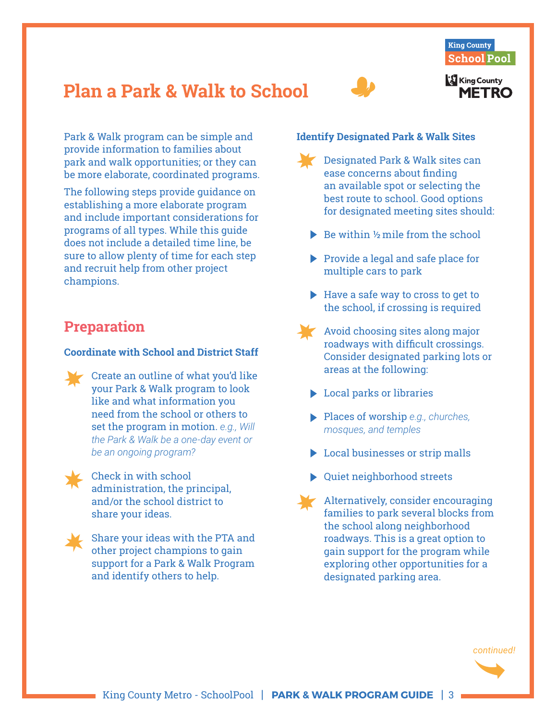

## **Plan a Park & Walk to School**



Park & Walk program can be simple and provide information to families about park and walk opportunities; or they can be more elaborate, coordinated programs.

The following steps provide guidance on establishing a more elaborate program and include important considerations for programs of all types. While this guide does not include a detailed time line, be sure to allow plenty of time for each step and recruit help from other project champions.

## **Preparation**

#### **Coordinate with School and District Staff**

Create an outline of what you'd like your Park & Walk program to look like and what information you need from the school or others to set the program in motion. *e.g., Will the Park & Walk be a one-day event or be an ongoing program?* 

Check in with school administration, the principal, and/or the school district to share your ideas.



Share your ideas with the PTA and other project champions to gain support for a Park & Walk Program and identify others to help.

#### **Identify Designated Park & Walk Sites**

- Designated Park & Walk sites can ease concerns about finding an available spot or selecting the best route to school. Good options for designated meeting sites should:
- $\triangleright$  Be within  $\frac{1}{2}$  mile from the school
- $\triangleright$  Provide a legal and safe place for multiple cars to park
- $\blacktriangleright$  Have a safe way to cross to get to the school, if crossing is required
- Avoid choosing sites along major roadways with difficult crossings. Consider designated parking lots or areas at the following:
- **Local parks or libraries**
- Places of worship *e.g., churches, mosques, and temples*
- ▶ Local businesses or strip malls
- Quiet neighborhood streets
- Alternatively, consider encouraging families to park several blocks from the school along neighborhood roadways. This is a great option to gain support for the program while exploring other opportunities for a designated parking area.

*continued!*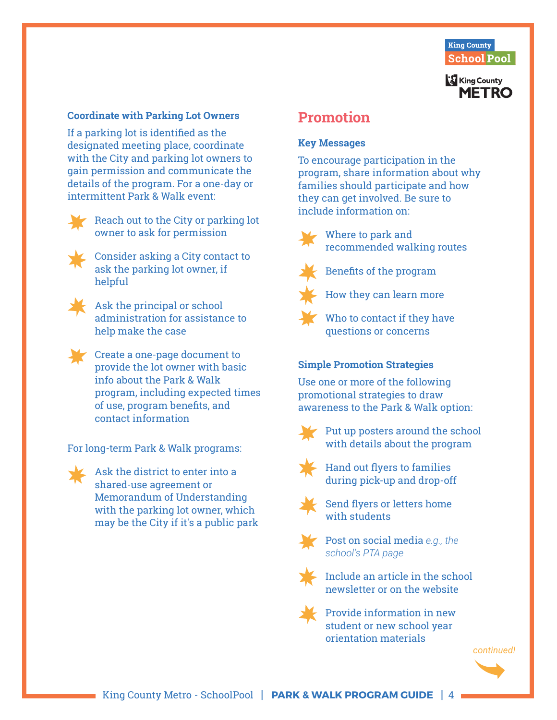

#### **Coordinate with Parking Lot Owners**

If a parking lot is identified as the designated meeting place, coordinate with the City and parking lot owners to gain permission and communicate the details of the program. For a one-day or intermittent Park & Walk event:



Reach out to the City or parking lot owner to ask for permission



Consider asking a City contact to ask the parking lot owner, if helpful



Ask the principal or school administration for assistance to help make the case

Create a one-page document to provide the lot owner with basic info about the Park & Walk program, including expected times of use, program benefits, and contact information

For long-term Park & Walk programs:



Ask the district to enter into a shared-use agreement or Memorandum of Understanding with the parking lot owner, which may be the City if it's a public park

### **Promotion**

#### **Key Messages**

To encourage participation in the program, share information about why families should participate and how they can get involved. Be sure to include information on:



Where to park and recommended walking routes



Benefits of the program



How they can learn more

Who to contact if they have questions or concerns

#### **Simple Promotion Strategies**

Use one or more of the following promotional strategies to draw awareness to the Park & Walk option:



Put up posters around the school with details about the program



Hand out flyers to families during pick-up and drop-off



Send flyers or letters home with students



Post on social media *e.g., the school's PTA page* 



Include an article in the school newsletter or on the website



Provide information in new student or new school year orientation materials

*continued!*

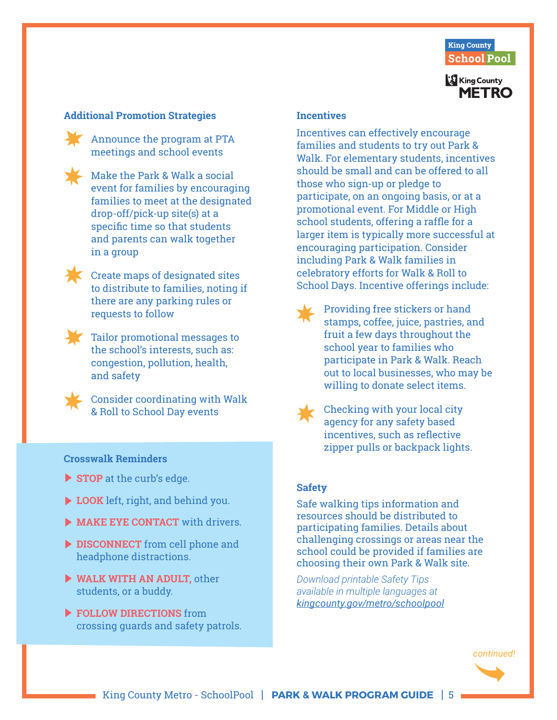

#### **Additional Promotion Strategies**

Announce the program at PTA meetings and school events



Make the Park & Walk a social event for families by encouraging families to meet at the designated drop-off/pick-up site(s) at a specific time so that students and parents can walk together in a group



Create maps of designated sites to distribute to families, noting if there are any parking rules or requests to follow



Tailor promotional messages to the school's interests, such as: congestion, pollution, health, and safety

Consider coordinating with Walk & Roll to School Day events

#### **Crosswalk Reminders**

- **STOP** at the curb's edge.
- **LOOK** left, right, and behind you.
- **MAKE EYE CONTACT** with drivers.
- **DISCONNECT** from cell phone and headphone distractions.
- **WALK WITH AN ADULT,** other students, or a buddy.
- **FOLLOW DIRECTIONS** from crossing guards and safety patrols.

#### **Incentives**

Incentives can effectively encourage families and students to try out Park & Walk. For elementary students, incentives should be small and can be offered to all those who sign-up or pledge to participate, on an ongoing basis, or at a promotional event. For Middle or High school students, offering a raffle for a larger item is typically more successful at encouraging participation. Consider including Park & Walk families in celebratory efforts for Walk & Roll to School Days. Incentive offerings include:

- Providing free stickers or hand stamps, coffee, juice, pastries, and fruit a few days throughout the school year to families who participate in Park & Walk. Reach out to local businesses, who may be willing to donate select items.
- 

Checking with your local city agency for any safety based incentives, such as reflective zipper pulls or backpack lights.

#### **Safety**

Safe walking tips information and resources should be distributed to participating families. Details about challenging crossings or areas near the school could be provided if families are choosing their own Park & Walk site.

*Download printable Safety Tips available in multiple languages at [kingcounty.gov/metro/schoolpool](www.kingcounty.gov/metro/schoolpool)*

*continued!*